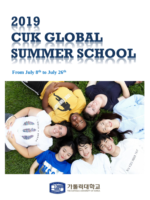# 2019 **CUK GLOBAL** SUMMER SCHOOL

#### **From July 8 th to July 26th**



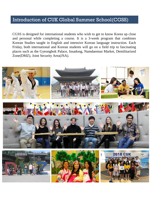#### Introduction of CUK Global Summer School(CGSS)

CGSS is designed for international students who wish to get to know Korea up close and personal while completing a course. It is a 3-week program that combines Korean Studies taught in English and intensive Korean language instruction. Each Friday, both international and Korean students will go on a field trip to fascinating places such as the Gyeongbok Palace, Insadong, Namdaemun Market, Demilitarized Zone(DMZ), Joint Security Area(JSA).

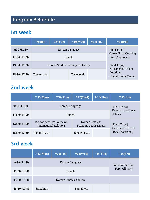# Program Schedule

#### 1st week

|                | 7/8(Mon)                          | $7/9$ (Tue)     | $7/10$ (Wed) | $7/11$ (Thu)                                    | $7/12$ (Fri)                                           |  |
|----------------|-----------------------------------|-----------------|--------------|-------------------------------------------------|--------------------------------------------------------|--|
| $9:30 - 11:30$ |                                   | Korean Language |              |                                                 | [Field Trip1]                                          |  |
| $11:30-13:00$  | Lunch                             |                 |              | <b>Korean Food Cooking</b><br>Class (*optional) |                                                        |  |
| 13:00~15:00    | Korean Studies: Society & History |                 |              | [Field Trip2]                                   |                                                        |  |
| $15:30-17:30$  | Taekwondo                         |                 | Taekwondo    |                                                 | - Gyeongbok Palace<br>- Insadong<br>- Namdaemun Market |  |

## 2nd week

|               | 7/15(Mon)                                                | $7/16$ (Tue) | $7/17$ (Wed)                                   | $7/18$ (Thu)                                        | $7/19$ (Fri)                         |  |
|---------------|----------------------------------------------------------|--------------|------------------------------------------------|-----------------------------------------------------|--------------------------------------|--|
| $9:30-11:30$  | Korean Language                                          |              |                                                | [Field Trip3]<br><b>Demilitarized Zone</b><br>(DMZ) |                                      |  |
| 11:30~13:00   | Lunch                                                    |              |                                                |                                                     |                                      |  |
| 13:00~15:00   | Korean Studies: Politics $\&$<br>International Relations |              | Korean Studies:<br><b>Economy and Business</b> |                                                     | [Field Trip4]<br>Joint Security Area |  |
| $15:30-17:30$ | <b>KPOP Dance</b>                                        |              | <b>KPOP</b> Dance                              |                                                     | $(ISA)$ (*optional)                  |  |

## 3rd week

|                 | 7/22(Mon)               | $7/23$ (Tue) | $7/24$ (Wed) | $7/25$ (Thu)                             | $7/26$ (Fri) |
|-----------------|-------------------------|--------------|--------------|------------------------------------------|--------------|
| $9:30-11:30$    | Korean Language         |              |              | Wrap up Session<br><b>Farewell Party</b> |              |
| 11:30~13:00     | Lunch                   |              |              |                                          |              |
| $13:00 - 15:00$ | Korean Studies: Culture |              |              |                                          |              |
| $15:30-17:30$   | Samulnori               |              | Samulnori    |                                          |              |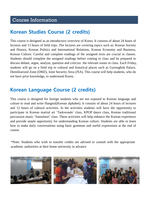### Course Information

#### Korean Studies Course (2 credits)

This course is designed as an introductory overview of Korea. It consists of about 24 hours of lectures and 13 hours of field trips. The lectures are covering topics such as: Korean Society and History, Korean Politics and International Relations, Korean Economy and Business, Korean Culture. Careful and complete readings of the assigned texts are crucial in classes. Students should complete the assigned readings before coming to class and be prepared to discuss debate, argue, analyze, question and criticize the relevant issues in class. Each Friday, students will go on a field trip to cultural and historical places such as Gyeongbok Palace, Demilitarized Zone (DMZ), Joint Security Area (JSA). This course will help students, who do not have prior knowledge, to understand Korea.

#### Korean Language Course (2 credits)

This course is designed for foreign students who are not exposed to Korean language and culture to read and write Hangeul(Korean alphabet). It consists of about 24 hours of lectures and 12 hours of cultural activities. In the activities students will have the opportunity to participate in Korean martial art 'Taekwondo' class, KPOP dance class, Korean traditional percussion music 'Samulnori' class. These activities will help enhance the Korean experience and provide ample opportunity for understanding Korean culture. Students are able to learn how to make daily conversations using basic grammar and useful expressions at the end of course.

\*Note: Students who wish to transfer credits are advised to consult with the appropriate academic authorities at their home university in advance

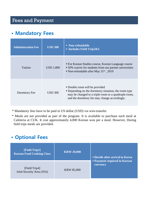## Fees and Payment

## • Mandatory Fees

| <b>Administration Fee</b> | <b>USD 300</b>   | • Non-refundable<br>$\blacksquare$ Includes Field Trip2&3                                                                                                                                        |  |  |
|---------------------------|------------------|--------------------------------------------------------------------------------------------------------------------------------------------------------------------------------------------------|--|--|
| Tuition                   | <b>USD 1,800</b> | • For Korean Studies course, Korean Language course<br>• 50% waiver for students from our partner universities<br>• Non-refundable after May $31st$ , 2019                                       |  |  |
| Dormitory Fee             | <b>USD 300</b>   | • Double room will be provided<br>• Depending on the dormitory situation, the room type<br>may be changed to a triple room or a quadruple room,<br>and the dormitory fee may change accordingly. |  |  |

\* Mandatory fees have to be paid in US dollar (USD) via wire-transfer.

\* Meals are not provided as part of the program. It is available to purchase each meal at Cafeteria at CUK. It cost approximately 4,000 Korean won per a meal. However, During field trips meals are provided.

#### • Optional Fees

| [Field Trip1]<br><b>Korean Food Cooking Class</b> | <b>KRW 20,000</b> | <b>Decide after arrival in Korea</b>          |  |
|---------------------------------------------------|-------------------|-----------------------------------------------|--|
| [Field Trip4]<br>Joint Security Area (JSA)        | <b>KRW 85,000</b> | <b>Payment required in Korean</b><br>currency |  |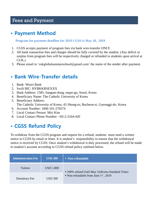#### Fees and Payment

## • Payment Method

#### **Program fee payment deadline for 2019 CGSS is May 10, 2019**

- 1. CGSS accepts payment of program fees via bank wire-transfer ONLY.
- 2. All bank transaction fees and charges should be fully covered by the student. (Any deficit or surplus from program fees will be respectively charged or refunded to students upon arrival at CUK.)
- 3. Please email to 'cukglobal summerschool  $(a)$  gmail.com' the name of the sender after payment.

## • Bank Wire-Transfer details

- 1. Bank: Woori Bank
- 2. Swift BIC: HVBKKRSEXXX
- 3. Bank Address: 1585, Sangam-dong, mapo-gu, Seoul, Korea
- 4. Beneficiary Name: The Catholic University of Korea
- 5. Beneficiary Address: The Catholic University of Korea, 43 Jibong-ro, Bucheon-si, Gyeonggi-do, Korea
- 6. Account Number: 1006-101-276574
- 7. Local Contact Person: Miri Kim
- 8. Local Contact Phone Number: +82-2-2164-420

## • CGSS Refund Policy

To withdraw from the CGSS program and request for a refund, students must send a written notice to CGSS by email or letter. It is student's responsibility to ensure that the withdrawal notice is received by CGSS. Once student's withdrawal is duly processed, the refund will be made to student's account according to CGSS refund policy outlined below.

| <b>Administration Fee</b> | <b>USD 300</b>   | • Non-refundable                                 |
|---------------------------|------------------|--------------------------------------------------|
| Tuition                   | <b>USD 1,800</b> | • 100% refund Until May 31 (Korea Standard Time) |
| Dormitory Fee             | <b>USD 300</b>   | • Non-refundable from June $1st$ , 2019          |